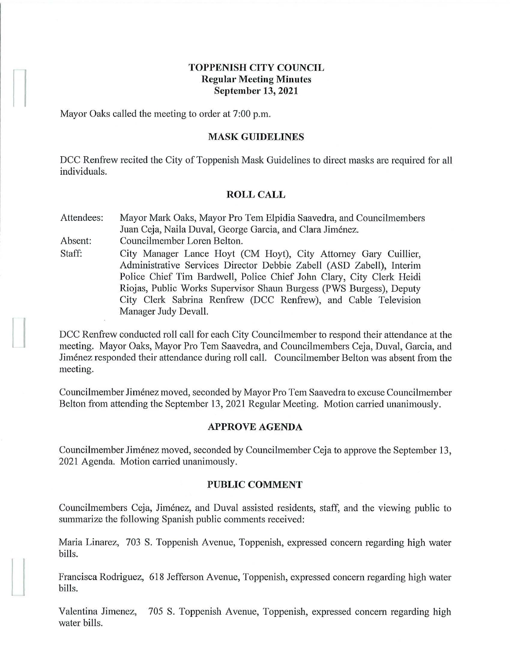## **TOPPENISH CITY COUNCIL Regular Meeting Minutes September 13, 2021**

Mayor Oaks called the meeting to order at 7:00 p.m.

#### **MASK GUIDELINES**

DCC Renfrew recited the City of Toppenish Mask Guidelines to direct masks are required for all individuals.

#### **ROLL CALL**

Attendees: Mayor Mark Oaks, Mayor Pro Tem Elpidia Saavedra, and Councilmembers Juan Ceja, Naila Duval, George Garcia, and Clara Jiménez.

Absent: Councilmember Loren Belton.

Staff: City Manager Lance Hoyt (CM Hoyt), City Attorney Gary Cuillier, Administrative Services Director Debbie Zabell (ASD Zabell), Interim Police Chief Tim Bardwell, Police Chief John Clary, City Clerk Heidi Riojas, Public Works Supervisor Shaun Burgess (PWS Burgess), Deputy City Clerk Sabrina Renfrew (DCC Renfrew), and Cable Television Manager Judy Devall.

DCC Renfrew conducted roll call for each City Councilmember to respond their attendance at the meeting. Mayor Oaks, Mayor Pro Tern Saavedra, and Councilmembers Ceja, Duval, Garcia, and Jimenez responded their attendance during roll call. Councilmember Belton was absent from the meeting.

Councilmember Jimenez moved, seconded by Mayor Pro Tern Saavedra to excuse Councilmember Belton from attending the September 13, 2021 Regular Meeting. Motion carried unanimously.

### **APPROVE AGENDA**

Councilmember Jiménez moved, seconded by Councilmember Ceja to approve the September 13, 2021 Agenda. Motion carried unanimously.

### **PUBLIC COMMENT**

Councilmembers Ceja, Jiménez, and Duval assisted residents, staff, and the viewing public to summarize the following Spanish public comments received:

Maria Linarez, 703 S. Toppenish A venue, Toppenish, expressed concern regarding high water bills.

Francisca Rodriguez, 618 Jefferson Avenue, Toppenish, expressed concern regarding high water bills.

Valentina Jimenez, 705 S. Toppenish Avenue, Toppenish, expressed concern regarding high water bills.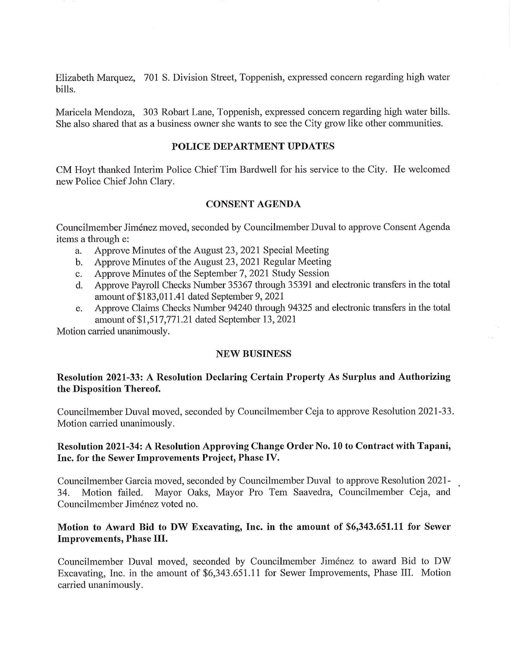Elizabeth Marquez, 701 S. Division Street, Toppenish, expressed concern regarding high water bills.

Maricela Mendoza, 303 Robart Lane, Toppenish, expressed concern regarding high water bills. She also shared that as a business owner she wants to see the City grow like other communities.

### **POLICE DEPARTMENT UPDATES**

CM Hoyt thanked Interim Police Chief Tim Bardwell for his service to the City. He welcomed new Police Chief John Clary.

### **CONSENT AGENDA**

Councilmember Jimenez moved, seconded by Councilmember Duval to approve Consent Agenda items a through e:

- a. Approve Minutes of the August 23, 2021 Special Meeting
- b. Approve Minutes of the August 23, 2021 Regular Meeting
- c. Approve Minutes of the September 7, 2021 Study Session
- d. Approve Payroll Checks Number 35367 through 35391 and electronic transfers in the total amount of \$183, 01 1.41 dated September 9, 2021
- e. Approve Claims Checks Number 94240 through 94325 and electronic transfers in the total amount of \$1,517,771.21 dated September 13, 2021

Motion carried unanimously.

### **NEW BUSINESS**

# **Resolution 2021-33: A Resolution Declaring Certain Property As Surplus and Authorizing the Disposition Thereof.**

Councilmember Duval moved, seconded by Councilmember Ceja to approve Resolution 2021-33. Motion carried unanimously.

## **Resolution 2021-34: A Resolution Approving Change Order No. 10 to Contract with Tapani, Inc. for the Sewer Improvements Project, Phase IV.**

Councilmember Garcia moved, seconded by Councilmember Duval to approve Resolution 2021- 34. Motion failed. Mayor Oaks, Mayor Pro Tem Saavedra, Councilmember Ceja, and Councilmember Jimenez voted no.

## **Motion to Award Bid to DW Excavating, Inc. in the amount of \$6,343.651.11 for Sewer Improvements, Phase III.**

Councilmember Duval moved, seconded by Councilmember Jimenez to award Bid to DW Excavating, Inc. in the amount of \$6,343 .651.11 for Sewer Improvements, Phase III. Motion carried unanimously.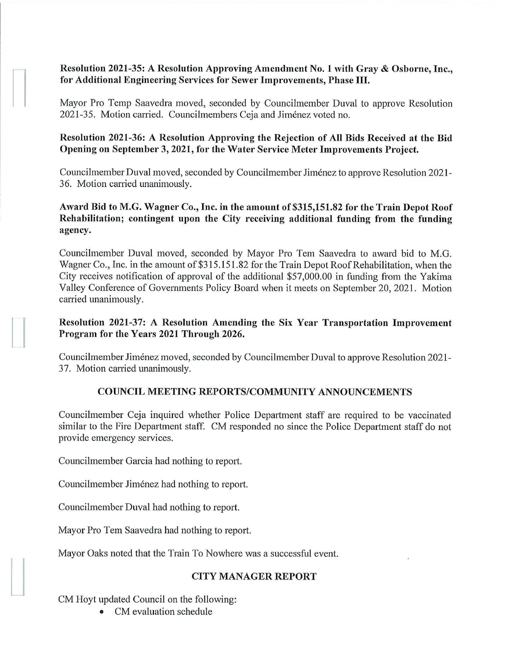# **Resolution 2021-35: A Resolution Approving Amendment No. 1 with Gray** & **Osborne, Inc., for Additional Engineering Services for Sewer Improvements, Phase** III.

Mayor Pro Temp Saavedra moved, seconded by Councilmember Duval to approve Resolution 2021-35. Motion carried. Councilmembers Ceja and Jimenez voted no.

## **Resolution 2021-36: A Resolution Approving the Rejection of All Bids Received at the Biel Opening on September 3, 2021, for the Water Service Meter Improvements Project.**

Councilmember Duval moved, seconded by Councilmember Jimenez to approve Resolution 2021- 36. Motion carried unanimously.

# Award Bid to M.G. Wagner Co., Inc. in the amount of \$315,151.82 for the Train Depot Roof **Rehabilitation; contingent upon the City receiving additional funding from the funding agency.**

Councilmember Duval moved, seconded by Mayor Pro Tern Saavedra to award bid to M.G. Wagner Co., Inc. in the amount of \$315.151.82 for the Train Depot Roof Rehabilitation, when the City receives notification of approval of the additional \$57,000.00 in funding from the Yakima Valley Conference of Governments Policy Board when it meets on September 20, 2021. Motion carried unanimously.

# **Resolution 2021-37: A Resolution Amending the Six Year Transportation Improvement Program for the Years 2021 Through 2026.**

Councilmember Jimenez moved, seconded by Councilmember Duval to approve Resolution 2021- 37. Motion carried unanimously.

## **COUNCIL MEETING REPORTS/COMMUNITY ANNOUNCEMENTS**

Councilmember Ceja inquired whether Police Department staff are required to be vaccinated similar to the Fire Department staff. CM responded no since the Police Department staff do not provide emergency services.

Councilmember Garcia had nothing to report.

Councilmember Jimenez had nothing to report.

Councilmember Duval had nothing to report.

Mayor Pro Tem Saavedra had nothing to report.

Mayor Oaks noted that the Train To Nowhere was a successful event.

## **CITY MANAGER REPORT**

CM Hoyt updated Council on the following:

I

• CM evaluation schedule